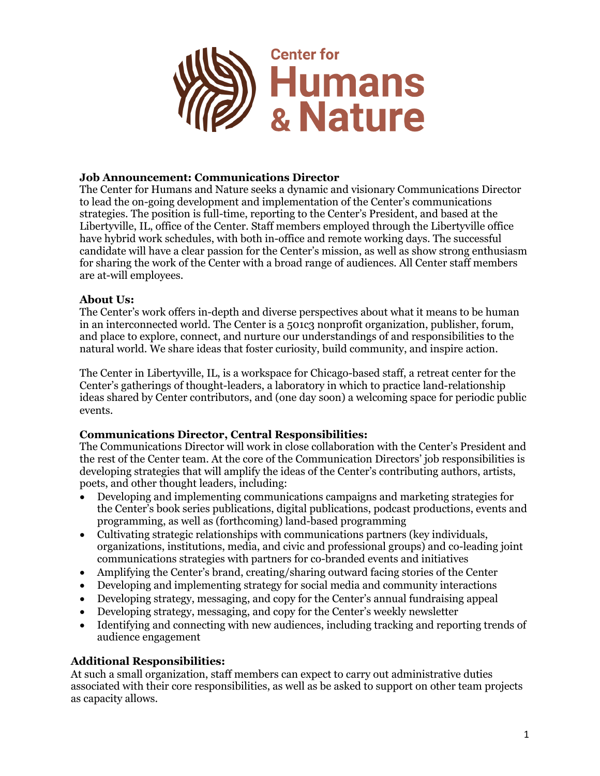

### **Job Announcement: Communications Director**

The Center for Humans and Nature seeks a dynamic and visionary Communications Director to lead the on-going development and implementation of the Center's communications strategies. The position is full-time, reporting to the Center's President, and based at the Libertyville, IL, office of the Center. Staff members employed through the Libertyville office have hybrid work schedules, with both in-office and remote working days. The successful candidate will have a clear passion for the Center's mission, as well as show strong enthusiasm for sharing the work of the Center with a broad range of audiences. All Center staff members are at-will employees.

## **About Us:**

The Center's work offers in-depth and diverse perspectives about what it means to be human in an interconnected world. The Center is a 501c3 nonprofit organization, publisher, forum, and place to explore, connect, and nurture our understandings of and responsibilities to the natural world. We share ideas that foster curiosity, build community, and inspire action.

The Center in Libertyville, IL, is a workspace for Chicago-based staff, a retreat center for the Center's gatherings of thought-leaders, a laboratory in which to practice land-relationship ideas shared by Center contributors, and (one day soon) a welcoming space for periodic public events.

# **Communications Director, Central Responsibilities:**

The Communications Director will work in close collaboration with the Center's President and the rest of the Center team. At the core of the Communication Directors' job responsibilities is developing strategies that will amplify the ideas of the Center's contributing authors, artists, poets, and other thought leaders, including:

- Developing and implementing communications campaigns and marketing strategies for the Center's book series publications, digital publications, podcast productions, events and programming, as well as (forthcoming) land-based programming
- Cultivating strategic relationships with communications partners (key individuals, organizations, institutions, media, and civic and professional groups) and co-leading joint communications strategies with partners for co-branded events and initiatives
- Amplifying the Center's brand, creating/sharing outward facing stories of the Center
- Developing and implementing strategy for social media and community interactions
- Developing strategy, messaging, and copy for the Center's annual fundraising appeal
- Developing strategy, messaging, and copy for the Center's weekly newsletter
- Identifying and connecting with new audiences, including tracking and reporting trends of audience engagement

# **Additional Responsibilities:**

At such a small organization, staff members can expect to carry out administrative duties associated with their core responsibilities, as well as be asked to support on other team projects as capacity allows.